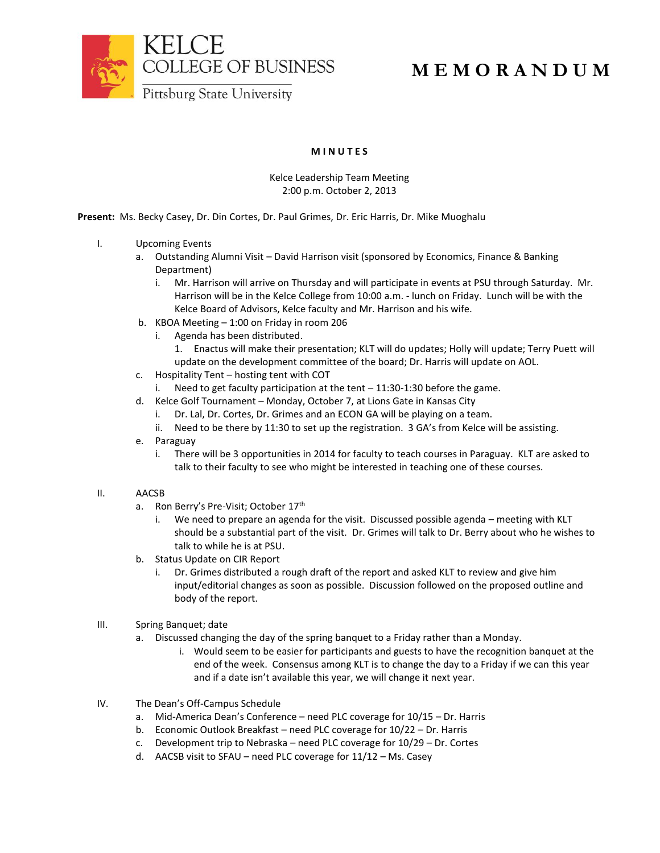

# **M E M O R A N D U M**

## **M I N U T E S**

### Kelce Leadership Team Meeting 2:00 p.m. October 2, 2013

**Present:** Ms. Becky Casey, Dr. Din Cortes, Dr. Paul Grimes, Dr. Eric Harris, Dr. Mike Muoghalu

- I. Upcoming Events
	- a. Outstanding Alumni Visit David Harrison visit (sponsored by Economics, Finance & Banking Department)
		- i. Mr. Harrison will arrive on Thursday and will participate in events at PSU through Saturday. Mr. Harrison will be in the Kelce College from 10:00 a.m. - lunch on Friday. Lunch will be with the Kelce Board of Advisors, Kelce faculty and Mr. Harrison and his wife.
	- b. KBOA Meeting 1:00 on Friday in room 206
		- i. Agenda has been distributed.
			- 1. Enactus will make their presentation; KLT will do updates; Holly will update; Terry Puett will update on the development committee of the board; Dr. Harris will update on AOL.
	- c. Hospitality Tent hosting tent with COT
		- i. Need to get faculty participation at the tent 11:30-1:30 before the game.
	- d. Kelce Golf Tournament Monday, October 7, at Lions Gate in Kansas City
		- i. Dr. Lal, Dr. Cortes, Dr. Grimes and an ECON GA will be playing on a team.
		- ii. Need to be there by 11:30 to set up the registration. 3 GA's from Kelce will be assisting.
	- e. Paraguay
		- i. There will be 3 opportunities in 2014 for faculty to teach courses in Paraguay. KLT are asked to talk to their faculty to see who might be interested in teaching one of these courses.

#### II. AACSB

- a. Ron Berry's Pre-Visit; October 17<sup>th</sup>
	- i. We need to prepare an agenda for the visit. Discussed possible agenda meeting with KLT should be a substantial part of the visit. Dr. Grimes will talk to Dr. Berry about who he wishes to talk to while he is at PSU.
- b. Status Update on CIR Report
	- i. Dr. Grimes distributed a rough draft of the report and asked KLT to review and give him input/editorial changes as soon as possible. Discussion followed on the proposed outline and body of the report.
- III. Spring Banquet; date
	- a. Discussed changing the day of the spring banquet to a Friday rather than a Monday.
		- i. Would seem to be easier for participants and guests to have the recognition banquet at the end of the week. Consensus among KLT is to change the day to a Friday if we can this year and if a date isn't available this year, we will change it next year.
- IV. The Dean's Off-Campus Schedule
	- a. Mid-America Dean's Conference need PLC coverage for 10/15 Dr. Harris
	- b. Economic Outlook Breakfast need PLC coverage for 10/22 Dr. Harris
	- c. Development trip to Nebraska need PLC coverage for 10/29 Dr. Cortes
	- d. AACSB visit to SFAU need PLC coverage for 11/12 Ms. Casey